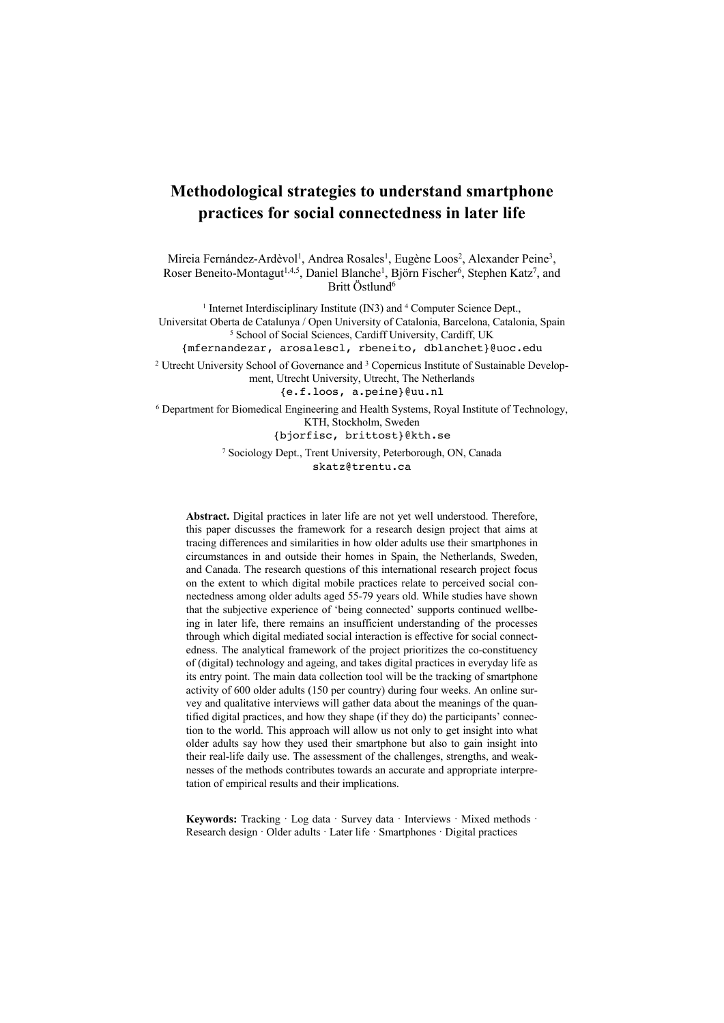# **Methodological strategies to understand smartphone practices for social connectedness in later life**

Mireia Fernández-Ardèvol<sup>1</sup>, Andrea Rosales<sup>1</sup>, Eugène Loos<sup>2</sup>, Alexander Peine<sup>3</sup>, Roser Beneito-Montagut<sup>1,4,5</sup>, Daniel Blanche<sup>1</sup>, Björn Fischer<sup>6</sup>, Stephen Katz<sup>7</sup>, and Britt Östlund<sup>6</sup>

<sup>1</sup> Internet Interdisciplinary Institute (IN3) and <sup>4</sup> Computer Science Dept., Universitat Oberta de Catalunya / Open University of Catalonia, Barcelona, Catalonia, Spain <sup>5</sup> School of Social Sciences, Cardiff University, Cardiff, UK {mfernandezar, arosalescl, rbeneito, dblanchet}@uoc.edu

<sup>2</sup> Utrecht University School of Governance and 3 Copernicus Institute of Sustainable Development, Utrecht University, Utrecht, The Netherlands

{e.f.loos, a.peine}@uu.nl

<sup>6</sup> Department for Biomedical Engineering and Health Systems, Royal Institute of Technology, KTH, Stockholm, Sweden {bjorfisc, brittost}@kth.se

> <sup>7</sup> Sociology Dept., Trent University, Peterborough, ON, Canada skatz@trentu.ca

**Abstract.** Digital practices in later life are not yet well understood. Therefore, this paper discusses the framework for a research design project that aims at tracing differences and similarities in how older adults use their smartphones in circumstances in and outside their homes in Spain, the Netherlands, Sweden, and Canada. The research questions of this international research project focus on the extent to which digital mobile practices relate to perceived social connectedness among older adults aged 55-79 years old. While studies have shown that the subjective experience of 'being connected' supports continued wellbeing in later life, there remains an insufficient understanding of the processes through which digital mediated social interaction is effective for social connectedness. The analytical framework of the project prioritizes the co-constituency of (digital) technology and ageing, and takes digital practices in everyday life as its entry point. The main data collection tool will be the tracking of smartphone activity of 600 older adults (150 per country) during four weeks. An online survey and qualitative interviews will gather data about the meanings of the quantified digital practices, and how they shape (if they do) the participants' connection to the world. This approach will allow us not only to get insight into what older adults say how they used their smartphone but also to gain insight into their real-life daily use. The assessment of the challenges, strengths, and weaknesses of the methods contributes towards an accurate and appropriate interpretation of empirical results and their implications.

**Keywords:** Tracking · Log data · Survey data · Interviews · Mixed methods · Research design · Older adults · Later life · Smartphones · Digital practices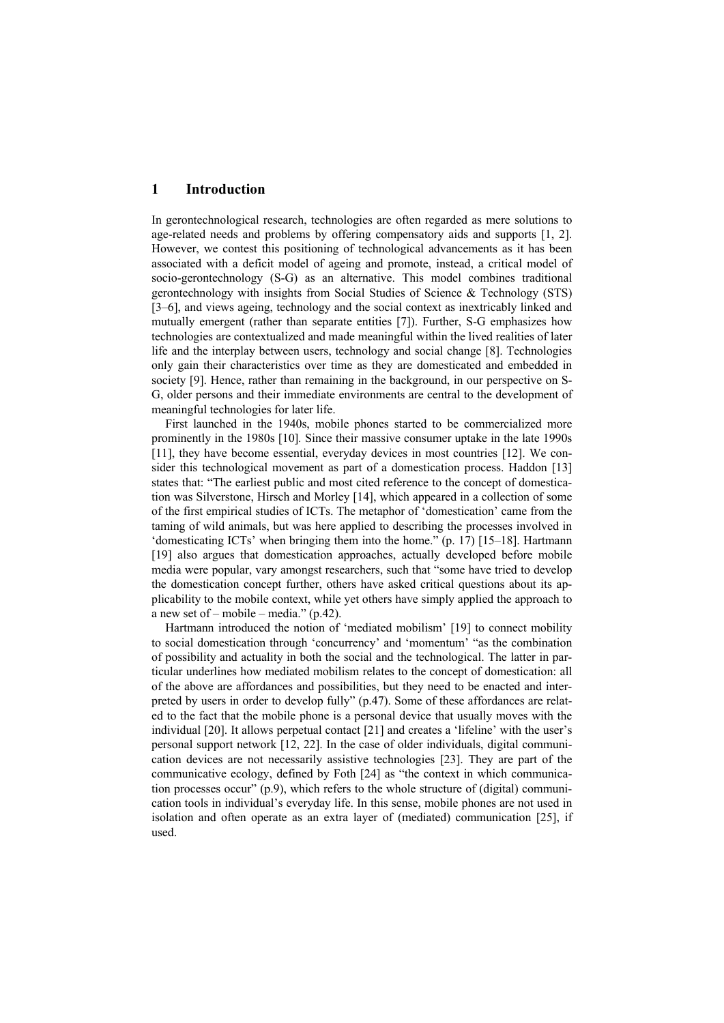## **1 Introduction**

In gerontechnological research, technologies are often regarded as mere solutions to age-related needs and problems by offering compensatory aids and supports [1, 2]. However, we contest this positioning of technological advancements as it has been associated with a deficit model of ageing and promote, instead, a critical model of socio-gerontechnology (S-G) as an alternative. This model combines traditional gerontechnology with insights from Social Studies of Science & Technology (STS) [3–6], and views ageing, technology and the social context as inextricably linked and mutually emergent (rather than separate entities [7]). Further, S-G emphasizes how technologies are contextualized and made meaningful within the lived realities of later life and the interplay between users, technology and social change [8]. Technologies only gain their characteristics over time as they are domesticated and embedded in society [9]. Hence, rather than remaining in the background, in our perspective on S-G, older persons and their immediate environments are central to the development of meaningful technologies for later life.

First launched in the 1940s, mobile phones started to be commercialized more prominently in the 1980s [10]*.* Since their massive consumer uptake in the late 1990s [11], they have become essential, everyday devices in most countries [12]. We consider this technological movement as part of a domestication process. Haddon [13] states that: "The earliest public and most cited reference to the concept of domestication was Silverstone, Hirsch and Morley [14], which appeared in a collection of some of the first empirical studies of ICTs. The metaphor of 'domestication' came from the taming of wild animals, but was here applied to describing the processes involved in 'domesticating ICTs' when bringing them into the home." (p. 17) [15–18]. Hartmann [19] also argues that domestication approaches, actually developed before mobile media were popular, vary amongst researchers, such that "some have tried to develop the domestication concept further, others have asked critical questions about its applicability to the mobile context, while yet others have simply applied the approach to a new set of – mobile – media."  $(p.42)$ .

Hartmann introduced the notion of 'mediated mobilism' [19] to connect mobility to social domestication through 'concurrency' and 'momentum' "as the combination of possibility and actuality in both the social and the technological. The latter in particular underlines how mediated mobilism relates to the concept of domestication: all of the above are affordances and possibilities, but they need to be enacted and interpreted by users in order to develop fully" (p.47). Some of these affordances are related to the fact that the mobile phone is a personal device that usually moves with the individual [20]. It allows perpetual contact [21] and creates a 'lifeline' with the user's personal support network [12, 22]. In the case of older individuals, digital communication devices are not necessarily assistive technologies [23]. They are part of the communicative ecology, defined by Foth [24] as "the context in which communication processes occur" (p.9), which refers to the whole structure of (digital) communication tools in individual's everyday life. In this sense, mobile phones are not used in isolation and often operate as an extra layer of (mediated) communication [25], if used.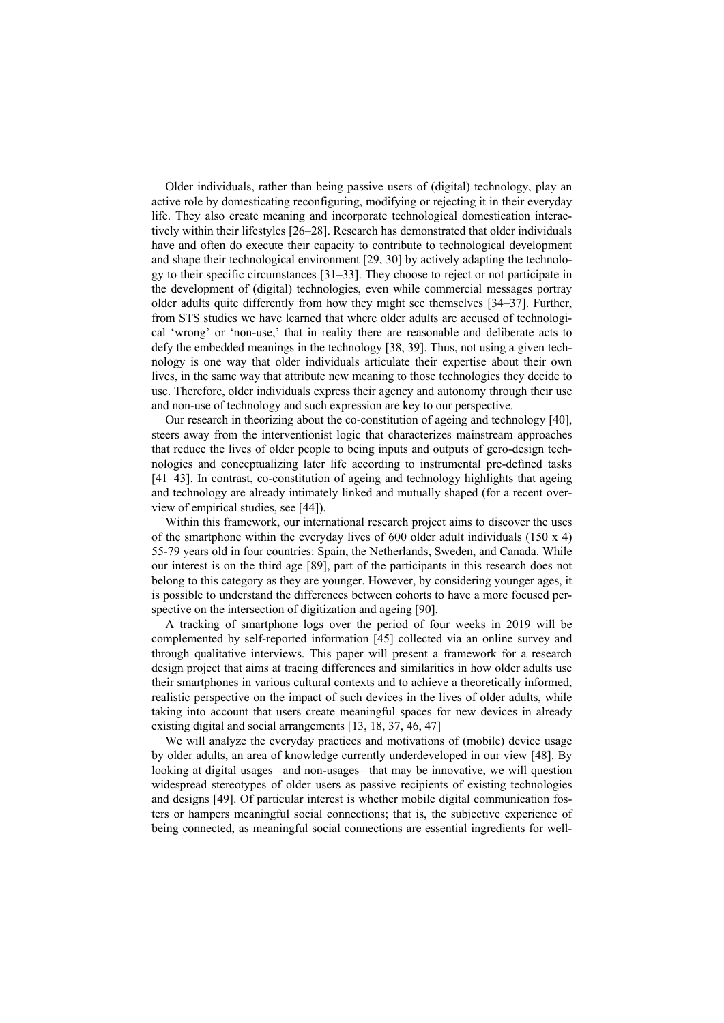Older individuals, rather than being passive users of (digital) technology, play an active role by domesticating reconfiguring, modifying or rejecting it in their everyday life. They also create meaning and incorporate technological domestication interactively within their lifestyles [26–28]. Research has demonstrated that older individuals have and often do execute their capacity to contribute to technological development and shape their technological environment [29, 30] by actively adapting the technology to their specific circumstances [31–33]. They choose to reject or not participate in the development of (digital) technologies, even while commercial messages portray older adults quite differently from how they might see themselves [34–37]. Further, from STS studies we have learned that where older adults are accused of technological 'wrong' or 'non-use,' that in reality there are reasonable and deliberate acts to defy the embedded meanings in the technology [38, 39]. Thus, not using a given technology is one way that older individuals articulate their expertise about their own lives, in the same way that attribute new meaning to those technologies they decide to use. Therefore, older individuals express their agency and autonomy through their use and non-use of technology and such expression are key to our perspective.

Our research in theorizing about the co-constitution of ageing and technology [40], steers away from the interventionist logic that characterizes mainstream approaches that reduce the lives of older people to being inputs and outputs of gero-design technologies and conceptualizing later life according to instrumental pre-defined tasks [41–43]. In contrast, co-constitution of ageing and technology highlights that ageing and technology are already intimately linked and mutually shaped (for a recent overview of empirical studies, see [44]).

Within this framework, our international research project aims to discover the uses of the smartphone within the everyday lives of 600 older adult individuals (150 x 4) 55-79 years old in four countries: Spain, the Netherlands, Sweden, and Canada. While our interest is on the third age [89], part of the participants in this research does not belong to this category as they are younger. However, by considering younger ages, it is possible to understand the differences between cohorts to have a more focused perspective on the intersection of digitization and ageing [90].

A tracking of smartphone logs over the period of four weeks in 2019 will be complemented by self-reported information [45] collected via an online survey and through qualitative interviews. This paper will present a framework for a research design project that aims at tracing differences and similarities in how older adults use their smartphones in various cultural contexts and to achieve a theoretically informed, realistic perspective on the impact of such devices in the lives of older adults, while taking into account that users create meaningful spaces for new devices in already existing digital and social arrangements [13, 18, 37, 46, 47]

We will analyze the everyday practices and motivations of (mobile) device usage by older adults, an area of knowledge currently underdeveloped in our view [48]. By looking at digital usages –and non-usages– that may be innovative, we will question widespread stereotypes of older users as passive recipients of existing technologies and designs [49]. Of particular interest is whether mobile digital communication fosters or hampers meaningful social connections; that is, the subjective experience of being connected, as meaningful social connections are essential ingredients for well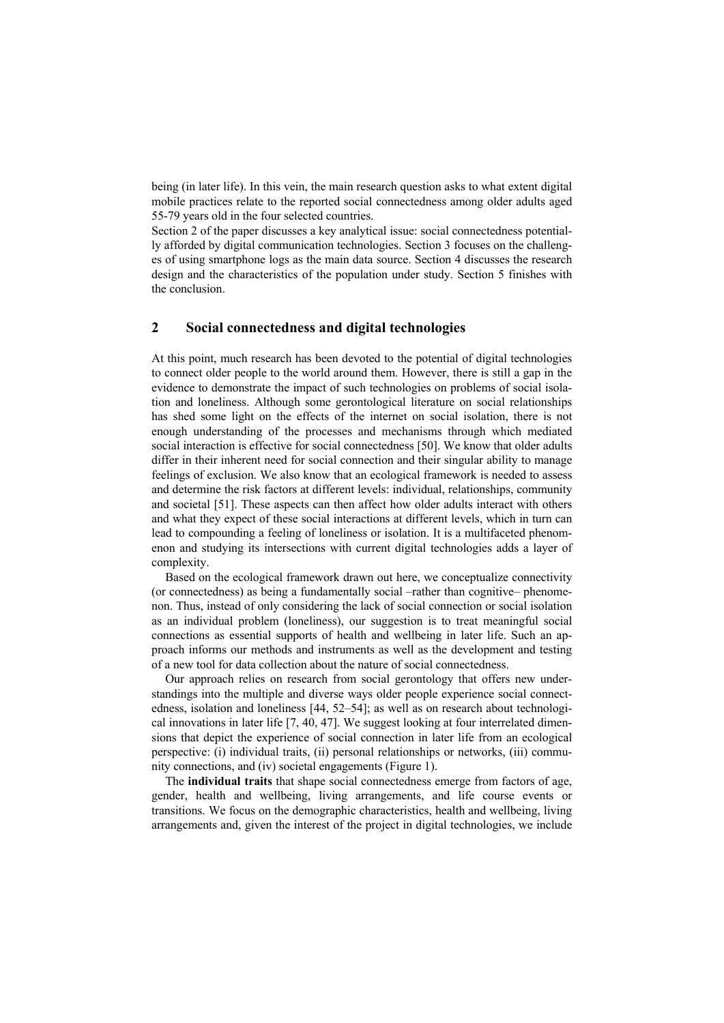being (in later life). In this vein, the main research question asks to what extent digital mobile practices relate to the reported social connectedness among older adults aged 55-79 years old in the four selected countries.

Section 2 of the paper discusses a key analytical issue: social connectedness potentially afforded by digital communication technologies. Section 3 focuses on the challenges of using smartphone logs as the main data source. Section 4 discusses the research design and the characteristics of the population under study. Section 5 finishes with the conclusion.

# **2 Social connectedness and digital technologies**

At this point, much research has been devoted to the potential of digital technologies to connect older people to the world around them. However, there is still a gap in the evidence to demonstrate the impact of such technologies on problems of social isolation and loneliness. Although some gerontological literature on social relationships has shed some light on the effects of the internet on social isolation, there is not enough understanding of the processes and mechanisms through which mediated social interaction is effective for social connectedness [50]. We know that older adults differ in their inherent need for social connection and their singular ability to manage feelings of exclusion. We also know that an ecological framework is needed to assess and determine the risk factors at different levels: individual, relationships, community and societal [51]. These aspects can then affect how older adults interact with others and what they expect of these social interactions at different levels, which in turn can lead to compounding a feeling of loneliness or isolation. It is a multifaceted phenomenon and studying its intersections with current digital technologies adds a layer of complexity.

Based on the ecological framework drawn out here, we conceptualize connectivity (or connectedness) as being a fundamentally social –rather than cognitive– phenomenon. Thus, instead of only considering the lack of social connection or social isolation as an individual problem (loneliness), our suggestion is to treat meaningful social connections as essential supports of health and wellbeing in later life. Such an approach informs our methods and instruments as well as the development and testing of a new tool for data collection about the nature of social connectedness.

Our approach relies on research from social gerontology that offers new understandings into the multiple and diverse ways older people experience social connectedness, isolation and loneliness [44, 52–54]; as well as on research about technological innovations in later life [7, 40, 47]. We suggest looking at four interrelated dimensions that depict the experience of social connection in later life from an ecological perspective: (i) individual traits, (ii) personal relationships or networks, (iii) community connections, and (iv) societal engagements (Figure 1).

The **individual traits** that shape social connectedness emerge from factors of age, gender, health and wellbeing, living arrangements, and life course events or transitions. We focus on the demographic characteristics, health and wellbeing, living arrangements and, given the interest of the project in digital technologies, we include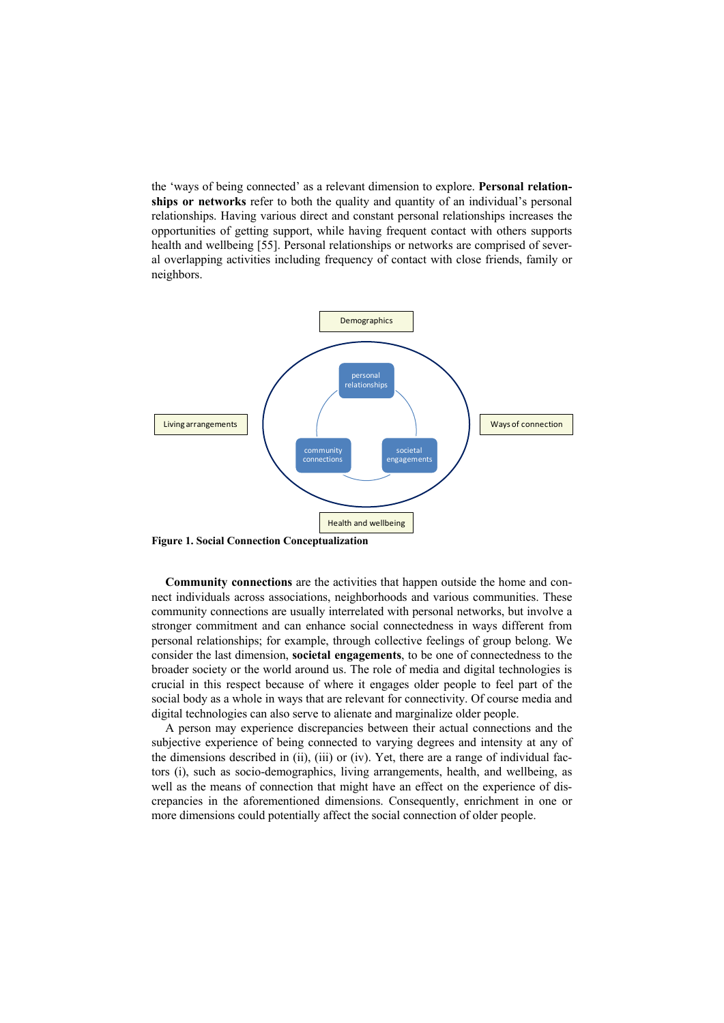the 'ways of being connected' as a relevant dimension to explore. **Personal relationships or networks** refer to both the quality and quantity of an individual's personal relationships. Having various direct and constant personal relationships increases the opportunities of getting support, while having frequent contact with others supports health and wellbeing [55]. Personal relationships or networks are comprised of several overlapping activities including frequency of contact with close friends, family or neighbors.



**Figure 1. Social Connection Conceptualization**

**Community connections** are the activities that happen outside the home and connect individuals across associations, neighborhoods and various communities. These community connections are usually interrelated with personal networks, but involve a stronger commitment and can enhance social connectedness in ways different from personal relationships; for example, through collective feelings of group belong. We consider the last dimension, **societal engagements**, to be one of connectedness to the broader society or the world around us. The role of media and digital technologies is crucial in this respect because of where it engages older people to feel part of the social body as a whole in ways that are relevant for connectivity. Of course media and digital technologies can also serve to alienate and marginalize older people.

A person may experience discrepancies between their actual connections and the subjective experience of being connected to varying degrees and intensity at any of the dimensions described in (ii), (iii) or (iv). Yet, there are a range of individual factors (i), such as socio-demographics, living arrangements, health, and wellbeing, as well as the means of connection that might have an effect on the experience of discrepancies in the aforementioned dimensions. Consequently, enrichment in one or more dimensions could potentially affect the social connection of older people.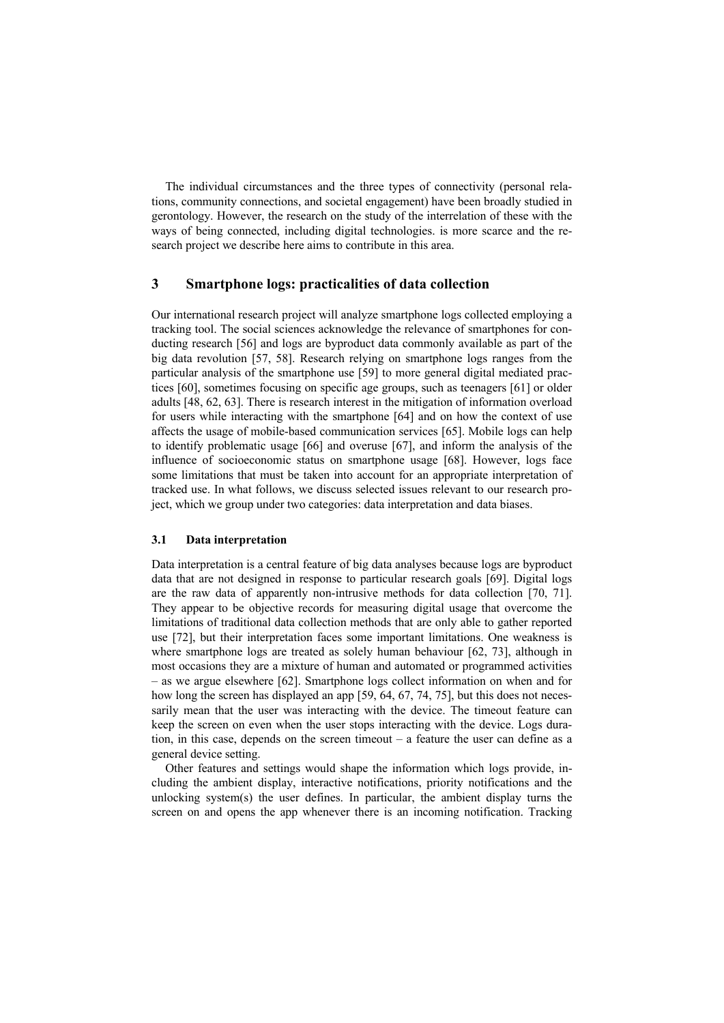The individual circumstances and the three types of connectivity (personal relations, community connections, and societal engagement) have been broadly studied in gerontology. However, the research on the study of the interrelation of these with the ways of being connected, including digital technologies. is more scarce and the research project we describe here aims to contribute in this area.

# **3 Smartphone logs: practicalities of data collection**

Our international research project will analyze smartphone logs collected employing a tracking tool. The social sciences acknowledge the relevance of smartphones for conducting research [56] and logs are byproduct data commonly available as part of the big data revolution [57, 58]. Research relying on smartphone logs ranges from the particular analysis of the smartphone use [59] to more general digital mediated practices [60], sometimes focusing on specific age groups, such as teenagers [61] or older adults [48, 62, 63]. There is research interest in the mitigation of information overload for users while interacting with the smartphone [64] and on how the context of use affects the usage of mobile-based communication services [65]. Mobile logs can help to identify problematic usage [66] and overuse [67], and inform the analysis of the influence of socioeconomic status on smartphone usage [68]. However, logs face some limitations that must be taken into account for an appropriate interpretation of tracked use. In what follows, we discuss selected issues relevant to our research project, which we group under two categories: data interpretation and data biases.

## **3.1 Data interpretation**

Data interpretation is a central feature of big data analyses because logs are byproduct data that are not designed in response to particular research goals [69]. Digital logs are the raw data of apparently non-intrusive methods for data collection [70, 71]. They appear to be objective records for measuring digital usage that overcome the limitations of traditional data collection methods that are only able to gather reported use [72], but their interpretation faces some important limitations. One weakness is where smartphone logs are treated as solely human behaviour [62, 73], although in most occasions they are a mixture of human and automated or programmed activities – as we argue elsewhere [62]. Smartphone logs collect information on when and for how long the screen has displayed an app [59, 64, 67, 74, 75], but this does not necessarily mean that the user was interacting with the device. The timeout feature can keep the screen on even when the user stops interacting with the device. Logs duration, in this case, depends on the screen timeout  $-$  a feature the user can define as a general device setting.

Other features and settings would shape the information which logs provide, including the ambient display, interactive notifications, priority notifications and the unlocking system(s) the user defines. In particular, the ambient display turns the screen on and opens the app whenever there is an incoming notification. Tracking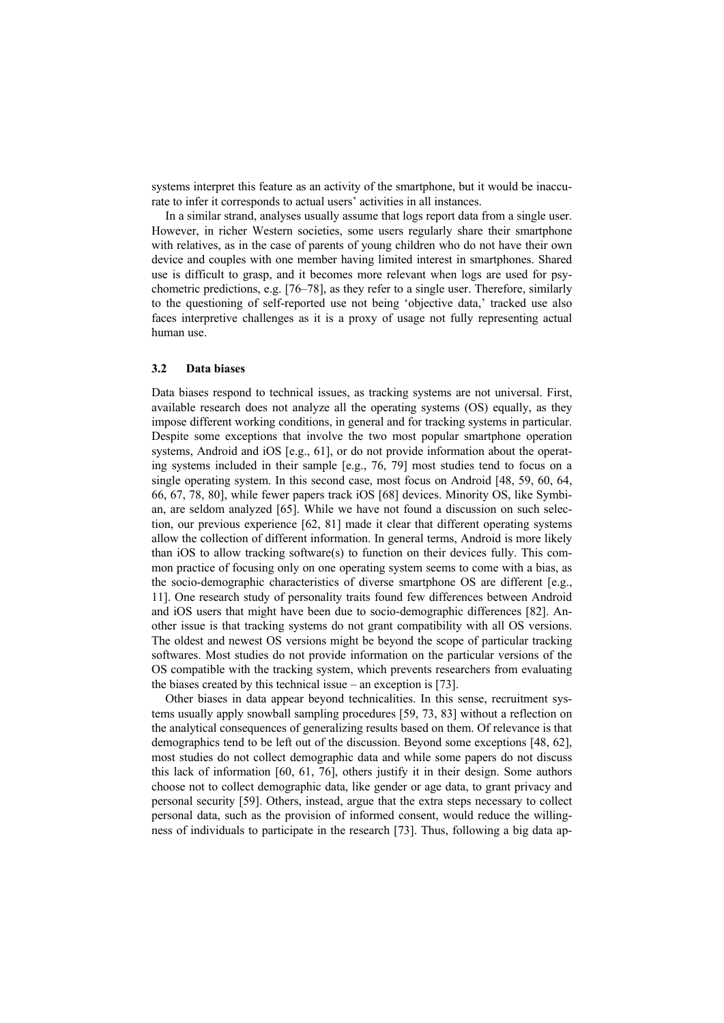systems interpret this feature as an activity of the smartphone, but it would be inaccurate to infer it corresponds to actual users' activities in all instances.

In a similar strand, analyses usually assume that logs report data from a single user. However, in richer Western societies, some users regularly share their smartphone with relatives, as in the case of parents of young children who do not have their own device and couples with one member having limited interest in smartphones. Shared use is difficult to grasp, and it becomes more relevant when logs are used for psychometric predictions, e.g. [76–78], as they refer to a single user. Therefore, similarly to the questioning of self-reported use not being 'objective data,' tracked use also faces interpretive challenges as it is a proxy of usage not fully representing actual human use.

## **3.2 Data biases**

Data biases respond to technical issues, as tracking systems are not universal. First, available research does not analyze all the operating systems (OS) equally, as they impose different working conditions, in general and for tracking systems in particular. Despite some exceptions that involve the two most popular smartphone operation systems, Android and iOS [e.g., 61], or do not provide information about the operating systems included in their sample [e.g., 76, 79] most studies tend to focus on a single operating system. In this second case, most focus on Android [48, 59, 60, 64, 66, 67, 78, 80], while fewer papers track iOS [68] devices. Minority OS, like Symbian, are seldom analyzed [65]. While we have not found a discussion on such selection, our previous experience [62, 81] made it clear that different operating systems allow the collection of different information. In general terms, Android is more likely than iOS to allow tracking software(s) to function on their devices fully. This common practice of focusing only on one operating system seems to come with a bias, as the socio-demographic characteristics of diverse smartphone OS are different [e.g., 11]. One research study of personality traits found few differences between Android and iOS users that might have been due to socio-demographic differences [82]. Another issue is that tracking systems do not grant compatibility with all OS versions. The oldest and newest OS versions might be beyond the scope of particular tracking softwares. Most studies do not provide information on the particular versions of the OS compatible with the tracking system, which prevents researchers from evaluating the biases created by this technical issue – an exception is [73].

Other biases in data appear beyond technicalities. In this sense, recruitment systems usually apply snowball sampling procedures [59, 73, 83] without a reflection on the analytical consequences of generalizing results based on them. Of relevance is that demographics tend to be left out of the discussion. Beyond some exceptions [48, 62], most studies do not collect demographic data and while some papers do not discuss this lack of information [60, 61, 76], others justify it in their design. Some authors choose not to collect demographic data, like gender or age data, to grant privacy and personal security [59]. Others, instead, argue that the extra steps necessary to collect personal data, such as the provision of informed consent, would reduce the willingness of individuals to participate in the research [73]. Thus, following a big data ap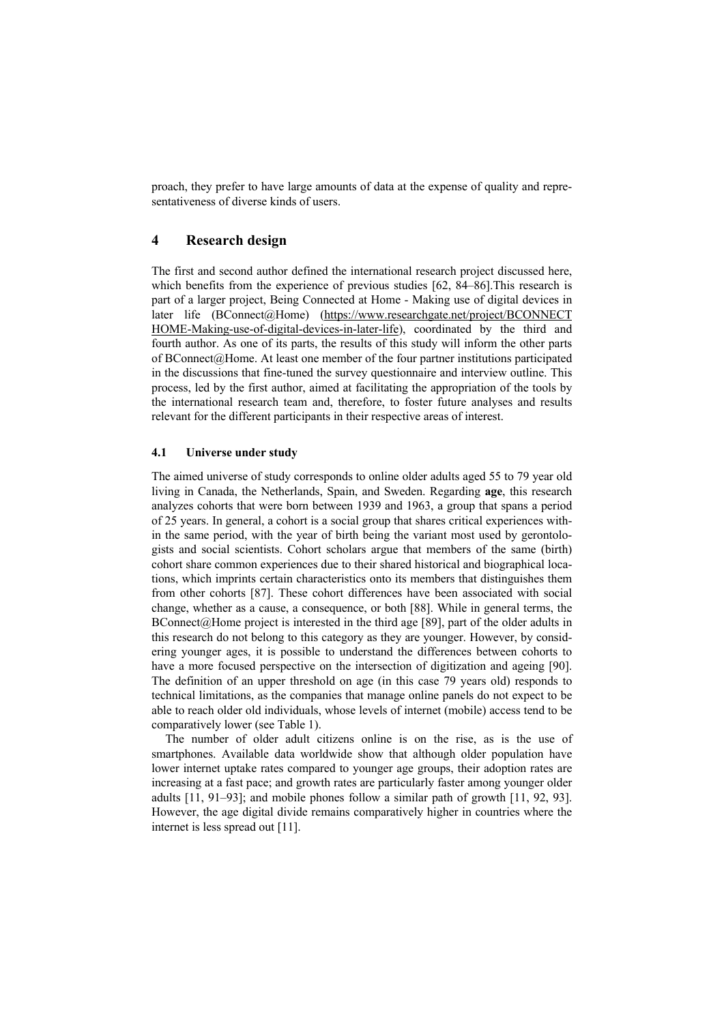proach, they prefer to have large amounts of data at the expense of quality and representativeness of diverse kinds of users.

# **4 Research design**

The first and second author defined the international research project discussed here, which benefits from the experience of previous studies [62, 84–86].This research is part of a larger project, Being Connected at Home - Making use of digital devices in later life (BConnect@Home) (https://www.researchgate.net/project/BCONNECT) HOME-Making-use-of-digital-devices-in-later-life), coordinated by the third and fourth author. As one of its parts, the results of this study will inform the other parts of BConnect@Home. At least one member of the four partner institutions participated in the discussions that fine-tuned the survey questionnaire and interview outline. This process, led by the first author, aimed at facilitating the appropriation of the tools by the international research team and, therefore, to foster future analyses and results relevant for the different participants in their respective areas of interest.

#### **4.1 Universe under study**

The aimed universe of study corresponds to online older adults aged 55 to 79 year old living in Canada, the Netherlands, Spain, and Sweden. Regarding **age**, this research analyzes cohorts that were born between 1939 and 1963, a group that spans a period of 25 years. In general, a cohort is a social group that shares critical experiences within the same period, with the year of birth being the variant most used by gerontologists and social scientists. Cohort scholars argue that members of the same (birth) cohort share common experiences due to their shared historical and biographical locations, which imprints certain characteristics onto its members that distinguishes them from other cohorts [87]. These cohort differences have been associated with social change, whether as a cause, a consequence, or both [88]. While in general terms, the BConnect@Home project is interested in the third age [89], part of the older adults in this research do not belong to this category as they are younger. However, by considering younger ages, it is possible to understand the differences between cohorts to have a more focused perspective on the intersection of digitization and ageing [90]. The definition of an upper threshold on age (in this case 79 years old) responds to technical limitations, as the companies that manage online panels do not expect to be able to reach older old individuals, whose levels of internet (mobile) access tend to be comparatively lower (see Table 1).

The number of older adult citizens online is on the rise, as is the use of smartphones. Available data worldwide show that although older population have lower internet uptake rates compared to younger age groups, their adoption rates are increasing at a fast pace; and growth rates are particularly faster among younger older adults [11, 91–93]; and mobile phones follow a similar path of growth [11, 92, 93]. However, the age digital divide remains comparatively higher in countries where the internet is less spread out [11].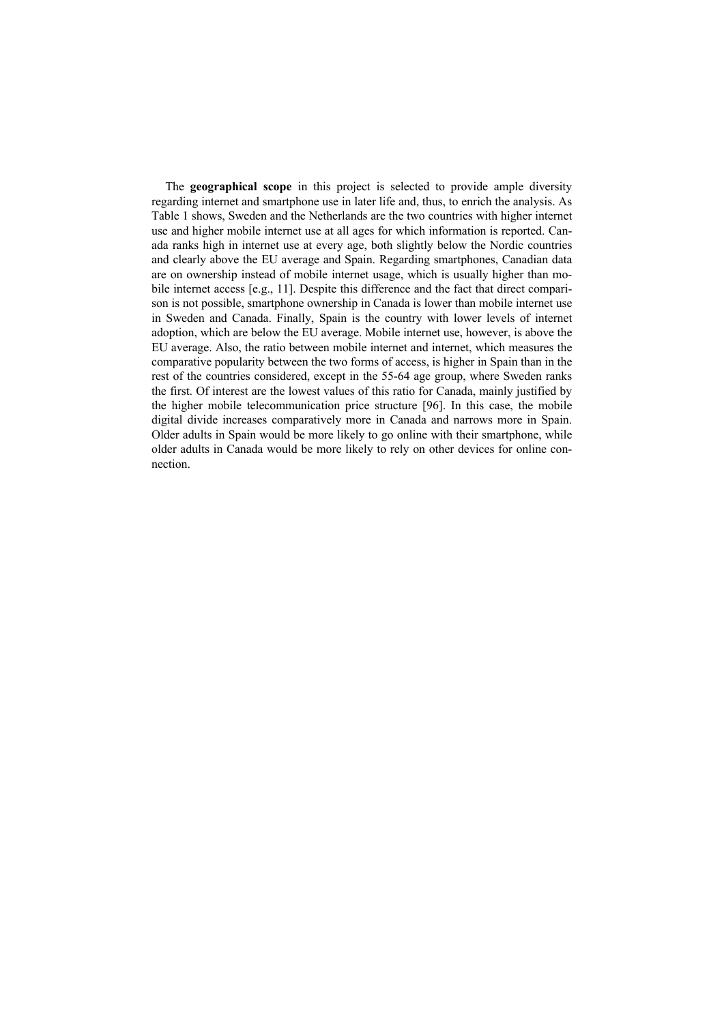The **geographical scope** in this project is selected to provide ample diversity regarding internet and smartphone use in later life and, thus, to enrich the analysis. As Table 1 shows, Sweden and the Netherlands are the two countries with higher internet use and higher mobile internet use at all ages for which information is reported. Canada ranks high in internet use at every age, both slightly below the Nordic countries and clearly above the EU average and Spain. Regarding smartphones, Canadian data are on ownership instead of mobile internet usage, which is usually higher than mobile internet access [e.g., 11]. Despite this difference and the fact that direct comparison is not possible, smartphone ownership in Canada is lower than mobile internet use in Sweden and Canada. Finally, Spain is the country with lower levels of internet adoption, which are below the EU average. Mobile internet use, however, is above the EU average. Also, the ratio between mobile internet and internet, which measures the comparative popularity between the two forms of access, is higher in Spain than in the rest of the countries considered, except in the 55-64 age group, where Sweden ranks the first. Of interest are the lowest values of this ratio for Canada, mainly justified by the higher mobile telecommunication price structure [96]. In this case, the mobile digital divide increases comparatively more in Canada and narrows more in Spain. Older adults in Spain would be more likely to go online with their smartphone, while older adults in Canada would be more likely to rely on other devices for online connection.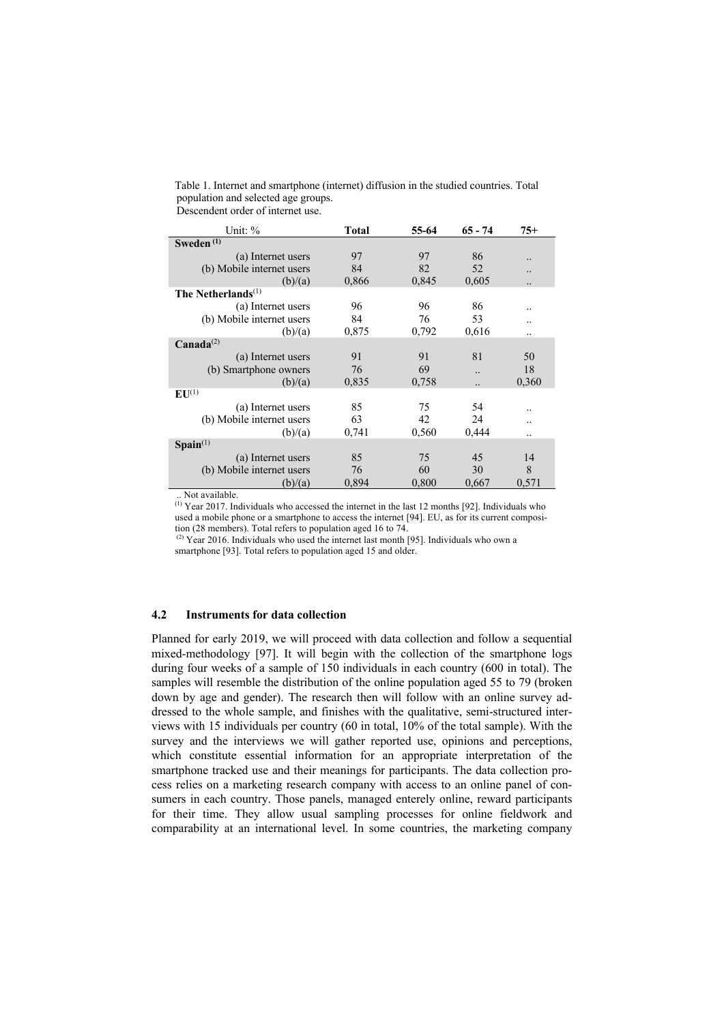Table 1. Internet and smartphone (internet) diffusion in the studied countries. Total population and selected age groups. Descendent order of internet use.

| Unit: %                   | <b>Total</b> | 55-64 | $65 - 74$ | $75+$   |
|---------------------------|--------------|-------|-----------|---------|
| Sweden $(1)$              |              |       |           |         |
| (a) Internet users        | 97           | 97    | 86        |         |
| (b) Mobile internet users | 84           | 82    | 52        |         |
| (b)/(a)                   | 0,866        | 0,845 | 0,605     |         |
| The Netherlands $^{(1)}$  |              |       |           |         |
| (a) Internet users        | 96           | 96    | 86        |         |
| (b) Mobile internet users | 84           | 76    | 53        |         |
| (b)/(a)                   | 0,875        | 0,792 | 0,616     | $\cdot$ |
| $Canada^{(2)}$            |              |       |           |         |
| (a) Internet users        | 91           | 91    | 81        | 50      |
| (b) Smartphone owners     | 76           | 69    |           | 18      |
| (b)/(a)                   | 0,835        | 0,758 |           | 0,360   |
| EU <sup>(1)</sup>         |              |       |           |         |
| (a) Internet users        | 85           | 75    | 54        |         |
| (b) Mobile internet users | 63           | 42    | 24        |         |
| (b)/(a)                   | 0,741        | 0,560 | 0,444     | $\cdot$ |
| $\text{Span}(1)$          |              |       |           |         |
| (a) Internet users        | 85           | 75    | 45        | 14      |
| (b) Mobile internet users | 76           | 60    | 30        | 8       |
| (b)/(a)                   | 0,894        | 0,800 | 0,667     | 0,571   |

.. Not available.

(1) Year 2017. Individuals who accessed the internet in the last 12 months [92]. Individuals who used a mobile phone or a smartphone to access the internet [94]. EU, as for its current composition (28 members). Total refers to population aged 16 to 74.

 $^{(2)}$  Year 2016. Individuals who used the internet last month [95]. Individuals who own a smartphone [93]. Total refers to population aged 15 and older.

### **4.2 Instruments for data collection**

Planned for early 2019, we will proceed with data collection and follow a sequential mixed-methodology [97]. It will begin with the collection of the smartphone logs during four weeks of a sample of 150 individuals in each country (600 in total). The samples will resemble the distribution of the online population aged 55 to 79 (broken down by age and gender). The research then will follow with an online survey addressed to the whole sample, and finishes with the qualitative, semi-structured interviews with 15 individuals per country (60 in total, 10% of the total sample). With the survey and the interviews we will gather reported use, opinions and perceptions, which constitute essential information for an appropriate interpretation of the smartphone tracked use and their meanings for participants. The data collection process relies on a marketing research company with access to an online panel of consumers in each country. Those panels, managed enterely online, reward participants for their time. They allow usual sampling processes for online fieldwork and comparability at an international level. In some countries, the marketing company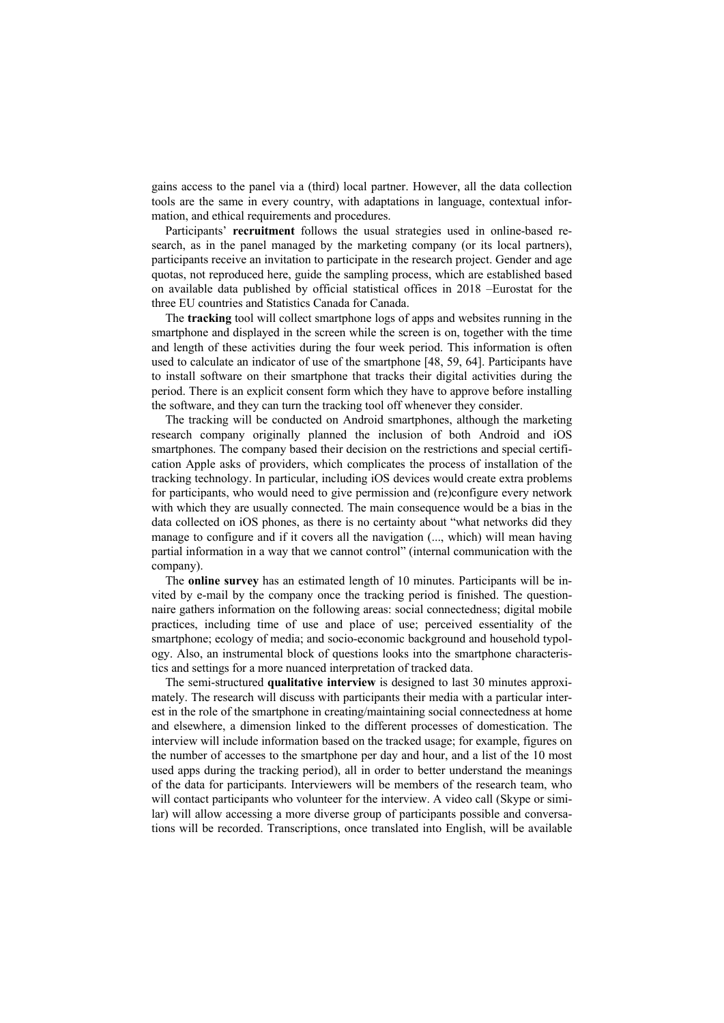gains access to the panel via a (third) local partner. However, all the data collection tools are the same in every country, with adaptations in language, contextual information, and ethical requirements and procedures.

Participants' **recruitment** follows the usual strategies used in online-based research, as in the panel managed by the marketing company (or its local partners), participants receive an invitation to participate in the research project. Gender and age quotas, not reproduced here, guide the sampling process, which are established based on available data published by official statistical offices in 2018 –Eurostat for the three EU countries and Statistics Canada for Canada.

The **tracking** tool will collect smartphone logs of apps and websites running in the smartphone and displayed in the screen while the screen is on, together with the time and length of these activities during the four week period. This information is often used to calculate an indicator of use of the smartphone [48, 59, 64]. Participants have to install software on their smartphone that tracks their digital activities during the period. There is an explicit consent form which they have to approve before installing the software, and they can turn the tracking tool off whenever they consider.

The tracking will be conducted on Android smartphones, although the marketing research company originally planned the inclusion of both Android and iOS smartphones. The company based their decision on the restrictions and special certification Apple asks of providers, which complicates the process of installation of the tracking technology. In particular, including iOS devices would create extra problems for participants, who would need to give permission and (re)configure every network with which they are usually connected. The main consequence would be a bias in the data collected on iOS phones, as there is no certainty about "what networks did they manage to configure and if it covers all the navigation (..., which) will mean having partial information in a way that we cannot control" (internal communication with the company).

The **online survey** has an estimated length of 10 minutes. Participants will be invited by e-mail by the company once the tracking period is finished. The questionnaire gathers information on the following areas: social connectedness; digital mobile practices, including time of use and place of use; perceived essentiality of the smartphone; ecology of media; and socio-economic background and household typology. Also, an instrumental block of questions looks into the smartphone characteristics and settings for a more nuanced interpretation of tracked data.

The semi-structured **qualitative interview** is designed to last 30 minutes approximately. The research will discuss with participants their media with a particular interest in the role of the smartphone in creating/maintaining social connectedness at home and elsewhere, a dimension linked to the different processes of domestication. The interview will include information based on the tracked usage; for example, figures on the number of accesses to the smartphone per day and hour, and a list of the 10 most used apps during the tracking period), all in order to better understand the meanings of the data for participants. Interviewers will be members of the research team, who will contact participants who volunteer for the interview. A video call (Skype or similar) will allow accessing a more diverse group of participants possible and conversations will be recorded. Transcriptions, once translated into English, will be available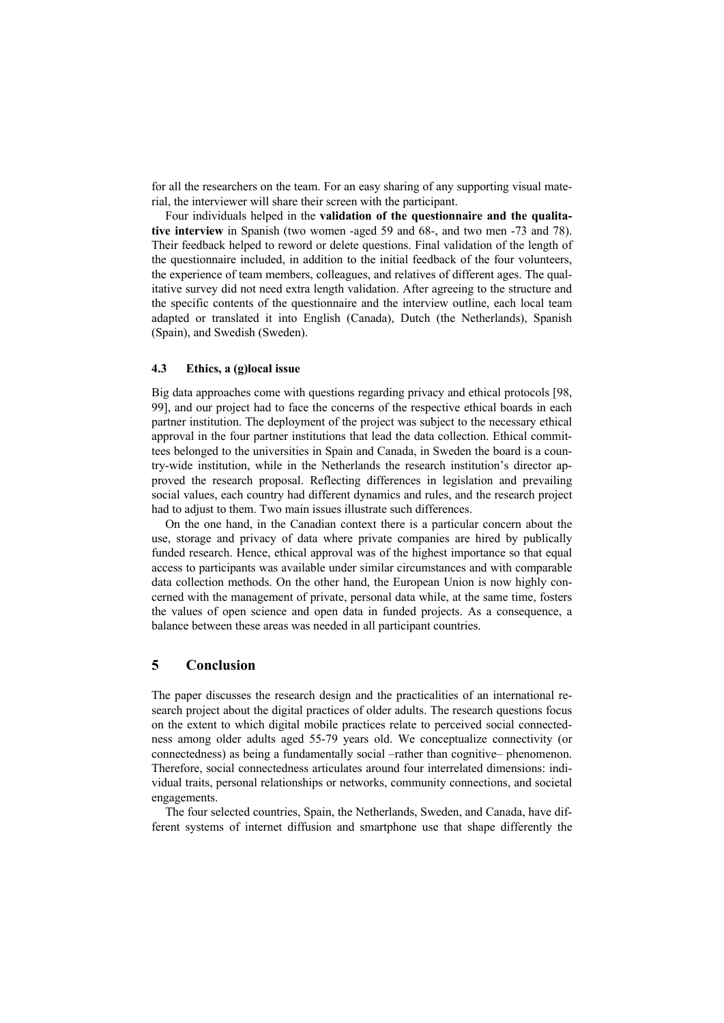for all the researchers on the team. For an easy sharing of any supporting visual material, the interviewer will share their screen with the participant.

Four individuals helped in the **validation of the questionnaire and the qualitative interview** in Spanish (two women -aged 59 and 68-, and two men -73 and 78). Their feedback helped to reword or delete questions. Final validation of the length of the questionnaire included, in addition to the initial feedback of the four volunteers, the experience of team members, colleagues, and relatives of different ages. The qualitative survey did not need extra length validation. After agreeing to the structure and the specific contents of the questionnaire and the interview outline, each local team adapted or translated it into English (Canada), Dutch (the Netherlands), Spanish (Spain), and Swedish (Sweden).

## **4.3 Ethics, a (g)local issue**

Big data approaches come with questions regarding privacy and ethical protocols [98, 99], and our project had to face the concerns of the respective ethical boards in each partner institution. The deployment of the project was subject to the necessary ethical approval in the four partner institutions that lead the data collection. Ethical committees belonged to the universities in Spain and Canada, in Sweden the board is a country-wide institution, while in the Netherlands the research institution's director approved the research proposal. Reflecting differences in legislation and prevailing social values, each country had different dynamics and rules, and the research project had to adjust to them. Two main issues illustrate such differences.

On the one hand, in the Canadian context there is a particular concern about the use, storage and privacy of data where private companies are hired by publically funded research. Hence, ethical approval was of the highest importance so that equal access to participants was available under similar circumstances and with comparable data collection methods. On the other hand, the European Union is now highly concerned with the management of private, personal data while, at the same time, fosters the values of open science and open data in funded projects. As a consequence, a balance between these areas was needed in all participant countries.

# **5 Conclusion**

The paper discusses the research design and the practicalities of an international research project about the digital practices of older adults. The research questions focus on the extent to which digital mobile practices relate to perceived social connectedness among older adults aged 55-79 years old. We conceptualize connectivity (or connectedness) as being a fundamentally social –rather than cognitive– phenomenon. Therefore, social connectedness articulates around four interrelated dimensions: individual traits, personal relationships or networks, community connections, and societal engagements.

The four selected countries, Spain, the Netherlands, Sweden, and Canada, have different systems of internet diffusion and smartphone use that shape differently the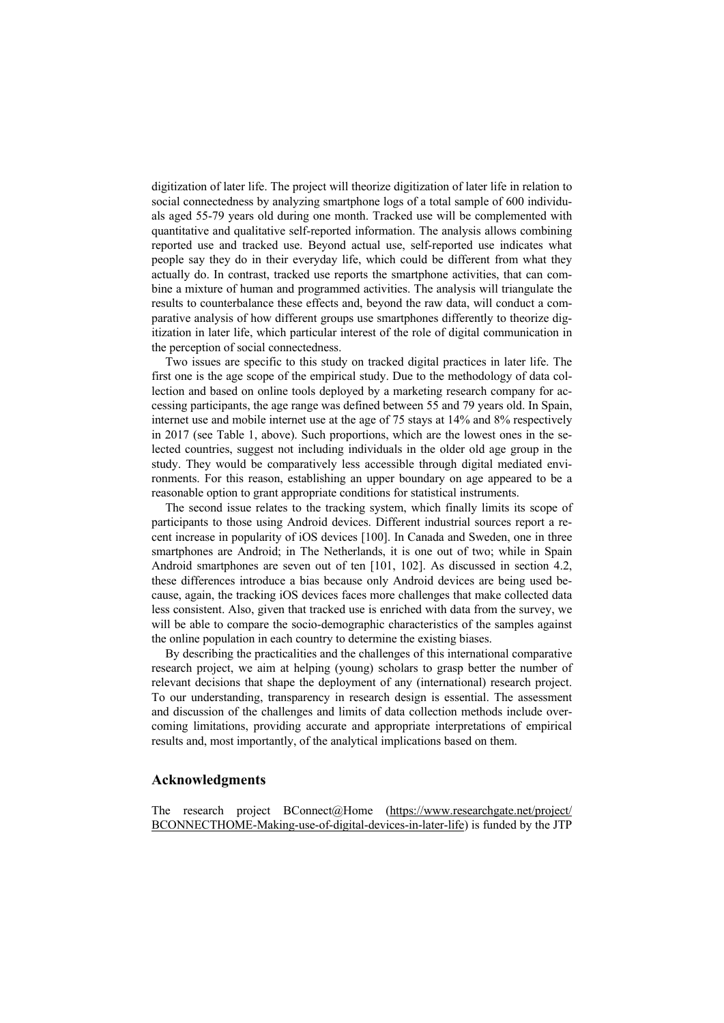digitization of later life. The project will theorize digitization of later life in relation to social connectedness by analyzing smartphone logs of a total sample of 600 individuals aged 55-79 years old during one month. Tracked use will be complemented with quantitative and qualitative self-reported information. The analysis allows combining reported use and tracked use. Beyond actual use, self-reported use indicates what people say they do in their everyday life, which could be different from what they actually do. In contrast, tracked use reports the smartphone activities, that can combine a mixture of human and programmed activities. The analysis will triangulate the results to counterbalance these effects and, beyond the raw data, will conduct a comparative analysis of how different groups use smartphones differently to theorize digitization in later life, which particular interest of the role of digital communication in the perception of social connectedness.

Two issues are specific to this study on tracked digital practices in later life. The first one is the age scope of the empirical study. Due to the methodology of data collection and based on online tools deployed by a marketing research company for accessing participants, the age range was defined between 55 and 79 years old. In Spain, internet use and mobile internet use at the age of 75 stays at 14% and 8% respectively in 2017 (see Table 1, above). Such proportions, which are the lowest ones in the selected countries, suggest not including individuals in the older old age group in the study. They would be comparatively less accessible through digital mediated environments. For this reason, establishing an upper boundary on age appeared to be a reasonable option to grant appropriate conditions for statistical instruments.

The second issue relates to the tracking system, which finally limits its scope of participants to those using Android devices. Different industrial sources report a recent increase in popularity of iOS devices [100]. In Canada and Sweden, one in three smartphones are Android; in The Netherlands, it is one out of two; while in Spain Android smartphones are seven out of ten [101, 102]. As discussed in section 4.2, these differences introduce a bias because only Android devices are being used because, again, the tracking iOS devices faces more challenges that make collected data less consistent. Also, given that tracked use is enriched with data from the survey, we will be able to compare the socio-demographic characteristics of the samples against the online population in each country to determine the existing biases.

By describing the practicalities and the challenges of this international comparative research project, we aim at helping (young) scholars to grasp better the number of relevant decisions that shape the deployment of any (international) research project. To our understanding, transparency in research design is essential. The assessment and discussion of the challenges and limits of data collection methods include overcoming limitations, providing accurate and appropriate interpretations of empirical results and, most importantly, of the analytical implications based on them.

## **Acknowledgments**

The research project BConnect@Home (https://www.researchgate.net/project/ BCONNECTHOME-Making-use-of-digital-devices-in-later-life) is funded by the JTP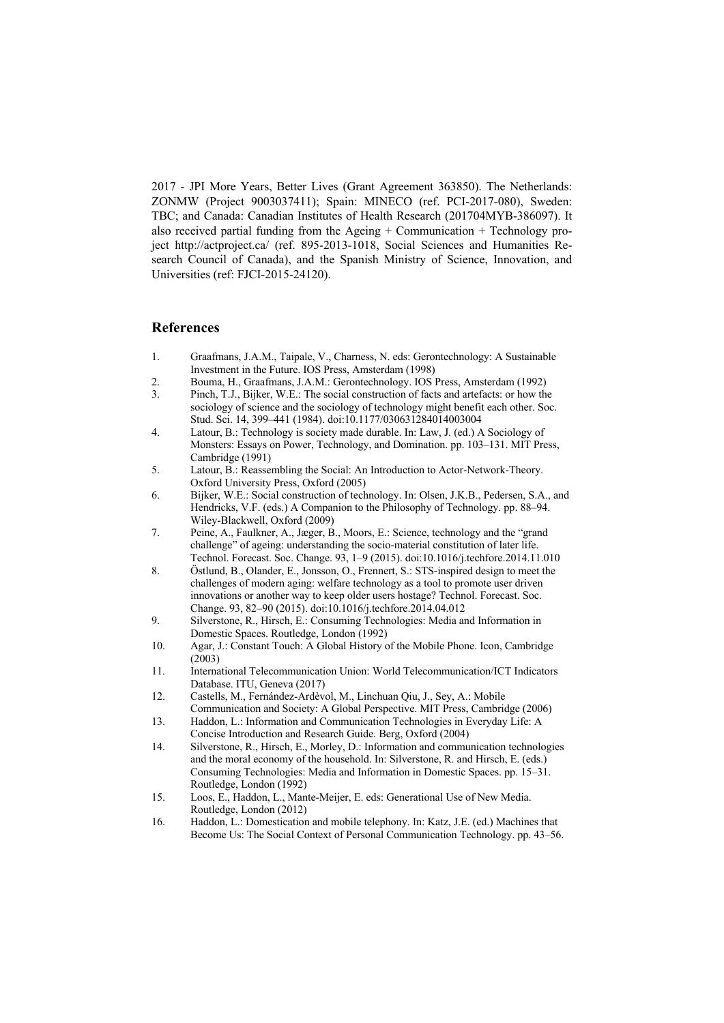2017 - JPI More Years, Better Lives (Grant Agreement 363850). The Netherlands: ZONMW (Project 9003037411); Spain: MINECO (ref. PCI-2017-080), Sweden: TBC; and Canada: Canadian Institutes of Health Research (201704MYB-386097). It also received partial funding from the Ageing + Communication + Technology project http://actproject.ca/ (ref. 895-2013-1018, Social Sciences and Humanities Research Council of Canada), and the Spanish Ministry of Science, Innovation, and Universities (ref: FJCI-2015-24120).

# **References**

- 1. Graafmans, J.A.M., Taipale, V., Charness, N. eds: Gerontechnology: A Sustainable Investment in the Future. IOS Press, Amsterdam (1998)
- 2. Bouma, H., Graafmans, J.A.M.: Gerontechnology. IOS Press, Amsterdam (1992)
- 3. Pinch, T.J., Bijker, W.E.: The social construction of facts and artefacts: or how the sociology of science and the sociology of technology might benefit each other. Soc. Stud. Sci. 14, 399–441 (1984). doi:10.1177/030631284014003004
- 4. Latour, B.: Technology is society made durable. In: Law, J. (ed.) A Sociology of Monsters: Essays on Power, Technology, and Domination. pp. 103–131. MIT Press, Cambridge (1991)
- 5. Latour, B.: Reassembling the Social: An Introduction to Actor-Network-Theory. Oxford University Press, Oxford (2005)
- 6. Bijker, W.E.: Social construction of technology. In: Olsen, J.K.B., Pedersen, S.A., and Hendricks, V.F. (eds.) A Companion to the Philosophy of Technology. pp. 88–94. Wiley-Blackwell, Oxford (2009)
- 7. Peine, A., Faulkner, A., Jæger, B., Moors, E.: Science, technology and the "grand challenge" of ageing: understanding the socio-material constitution of later life. Technol. Forecast. Soc. Change. 93, 1–9 (2015). doi:10.1016/j.techfore.2014.11.010
- 8. Östlund, B., Olander, E., Jonsson, O., Frennert, S.: STS-inspired design to meet the challenges of modern aging: welfare technology as a tool to promote user driven innovations or another way to keep older users hostage? Technol. Forecast. Soc. Change. 93, 82–90 (2015). doi:10.1016/j.techfore.2014.04.012
- 9. Silverstone, R., Hirsch, E.: Consuming Technologies: Media and Information in Domestic Spaces. Routledge, London (1992)
- 10. Agar, J.: Constant Touch: A Global History of the Mobile Phone. Icon, Cambridge (2003)
- 11. International Telecommunication Union: World Telecommunication/ICT Indicators Database. ITU, Geneva (2017)
- 12. Castells, M., Fernández-Ardèvol, M., Linchuan Qiu, J., Sey, A.: Mobile Communication and Society: A Global Perspective. MIT Press, Cambridge (2006)
- 13. Haddon, L.: Information and Communication Technologies in Everyday Life: A Concise Introduction and Research Guide. Berg, Oxford (2004)
- 14. Silverstone, R., Hirsch, E., Morley, D.: Information and communication technologies and the moral economy of the household. In: Silverstone, R. and Hirsch, E. (eds.) Consuming Technologies: Media and Information in Domestic Spaces. pp. 15–31. Routledge, London (1992)
- 15. Loos, E., Haddon, L., Mante-Meijer, E. eds: Generational Use of New Media. Routledge, London (2012)
- 16. Haddon, L.: Domestication and mobile telephony. In: Katz, J.E. (ed.) Machines that Become Us: The Social Context of Personal Communication Technology. pp. 43–56.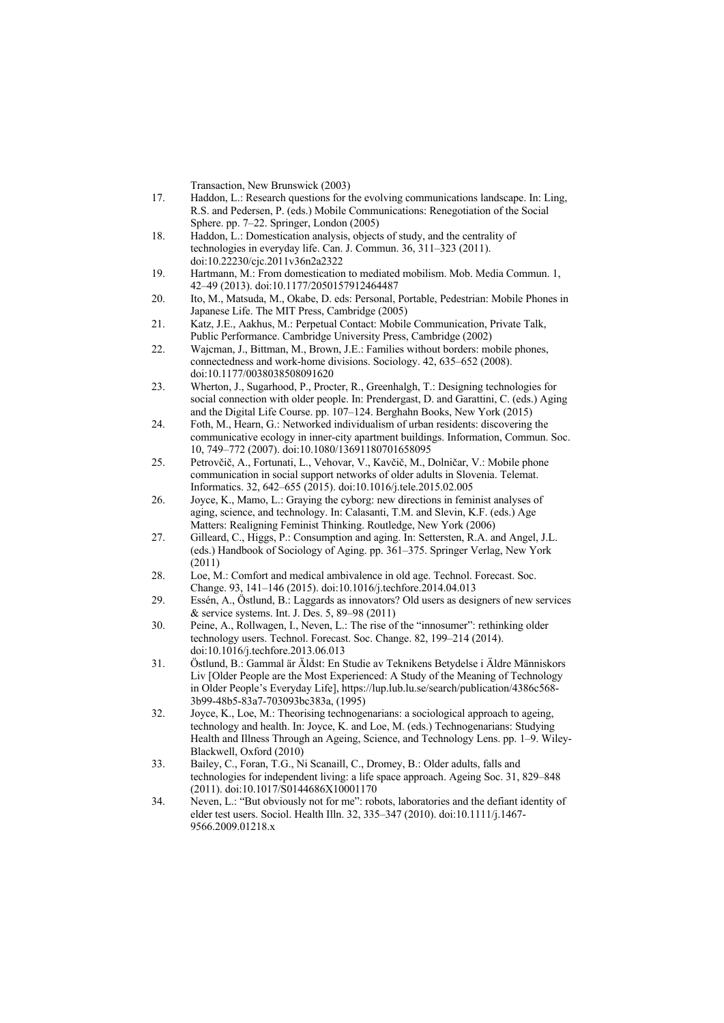Transaction, New Brunswick (2003)

- 17. Haddon, L.: Research questions for the evolving communications landscape. In: Ling, R.S. and Pedersen, P. (eds.) Mobile Communications: Renegotiation of the Social Sphere. pp. 7–22. Springer, London (2005)
- 18. Haddon, L.: Domestication analysis, objects of study, and the centrality of technologies in everyday life. Can. J. Commun. 36, 311–323 (2011). doi:10.22230/cjc.2011v36n2a2322
- 19. Hartmann, M.: From domestication to mediated mobilism. Mob. Media Commun. 1, 42–49 (2013). doi:10.1177/2050157912464487
- 20. Ito, M., Matsuda, M., Okabe, D. eds: Personal, Portable, Pedestrian: Mobile Phones in Japanese Life. The MIT Press, Cambridge (2005)
- 21. Katz, J.E., Aakhus, M.: Perpetual Contact: Mobile Communication, Private Talk, Public Performance. Cambridge University Press, Cambridge (2002)
- 22. Wajcman, J., Bittman, M., Brown, J.E.: Families without borders: mobile phones, connectedness and work-home divisions. Sociology. 42, 635–652 (2008). doi:10.1177/0038038508091620
- 23. Wherton, J., Sugarhood, P., Procter, R., Greenhalgh, T.: Designing technologies for social connection with older people. In: Prendergast, D. and Garattini, C. (eds.) Aging and the Digital Life Course. pp. 107–124. Berghahn Books, New York (2015)
- 24. Foth, M., Hearn, G.: Networked individualism of urban residents: discovering the communicative ecology in inner-city apartment buildings. Information, Commun. Soc. 10, 749–772 (2007). doi:10.1080/13691180701658095
- 25. Petrovčič, A., Fortunati, L., Vehovar, V., Kavčič, M., Dolničar, V.: Mobile phone communication in social support networks of older adults in Slovenia. Telemat. Informatics. 32, 642–655 (2015). doi:10.1016/j.tele.2015.02.005
- 26. Joyce, K., Mamo, L.: Graying the cyborg: new directions in feminist analyses of aging, science, and technology. In: Calasanti, T.M. and Slevin, K.F. (eds.) Age Matters: Realigning Feminist Thinking. Routledge, New York (2006)
- 27. Gilleard, C., Higgs, P.: Consumption and aging. In: Settersten, R.A. and Angel, J.L. (eds.) Handbook of Sociology of Aging. pp. 361–375. Springer Verlag, New York (2011)
- 28. Loe, M.: Comfort and medical ambivalence in old age. Technol. Forecast. Soc. Change. 93, 141–146 (2015). doi:10.1016/j.techfore.2014.04.013
- 29. Essén, A., Östlund, B.: Laggards as innovators? Old users as designers of new services & service systems. Int. J. Des. 5, 89–98 (2011)
- 30. Peine, A., Rollwagen, I., Neven, L.: The rise of the "innosumer": rethinking older technology users. Technol. Forecast. Soc. Change. 82, 199–214 (2014). doi:10.1016/j.techfore.2013.06.013
- 31. Östlund, B.: Gammal är Äldst: En Studie av Teknikens Betydelse i Äldre Människors Liv [Older People are the Most Experienced: A Study of the Meaning of Technology in Older People's Everyday Life], https://lup.lub.lu.se/search/publication/4386c568- 3b99-48b5-83a7-703093bc383a, (1995)
- 32. Joyce, K., Loe, M.: Theorising technogenarians: a sociological approach to ageing, technology and health. In: Joyce, K. and Loe, M. (eds.) Technogenarians: Studying Health and Illness Through an Ageing, Science, and Technology Lens. pp. 1–9. Wiley-Blackwell, Oxford (2010)
- 33. Bailey, C., Foran, T.G., Ni Scanaill, C., Dromey, B.: Older adults, falls and technologies for independent living: a life space approach. Ageing Soc. 31, 829–848 (2011). doi:10.1017/S0144686X10001170
- 34. Neven, L.: "But obviously not for me": robots, laboratories and the defiant identity of elder test users. Sociol. Health Illn. 32, 335–347 (2010). doi:10.1111/j.1467- 9566.2009.01218.x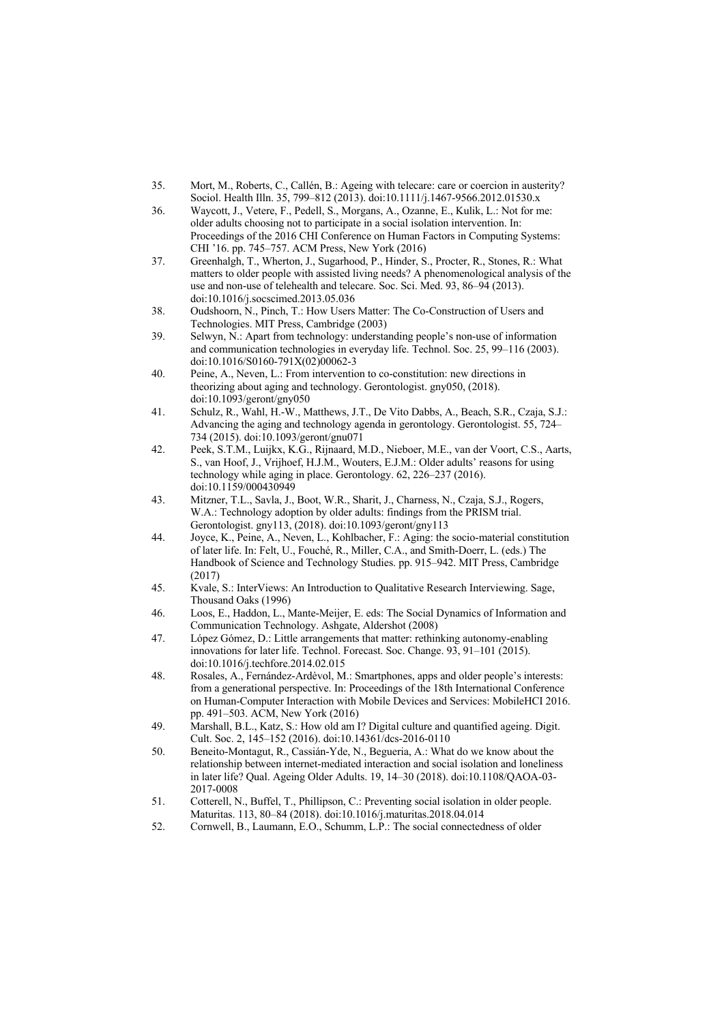- 35. Mort, M., Roberts, C., Callén, B.: Ageing with telecare: care or coercion in austerity? Sociol. Health Illn. 35, 799–812 (2013). doi:10.1111/j.1467-9566.2012.01530.x
- 36. Waycott, J., Vetere, F., Pedell, S., Morgans, A., Ozanne, E., Kulik, L.: Not for me: older adults choosing not to participate in a social isolation intervention. In: Proceedings of the 2016 CHI Conference on Human Factors in Computing Systems: CHI '16. pp. 745–757. ACM Press, New York (2016)
- 37. Greenhalgh, T., Wherton, J., Sugarhood, P., Hinder, S., Procter, R., Stones, R.: What matters to older people with assisted living needs? A phenomenological analysis of the use and non-use of telehealth and telecare. Soc. Sci. Med. 93, 86–94 (2013). doi:10.1016/j.socscimed.2013.05.036
- 38. Oudshoorn, N., Pinch, T.: How Users Matter: The Co-Construction of Users and Technologies. MIT Press, Cambridge (2003)
- 39. Selwyn, N.: Apart from technology: understanding people's non-use of information and communication technologies in everyday life. Technol. Soc. 25, 99–116 (2003). doi:10.1016/S0160-791X(02)00062-3
- 40. Peine, A., Neven, L.: From intervention to co-constitution: new directions in theorizing about aging and technology. Gerontologist. gny050, (2018). doi:10.1093/geront/gny050
- 41. Schulz, R., Wahl, H.-W., Matthews, J.T., De Vito Dabbs, A., Beach, S.R., Czaja, S.J.: Advancing the aging and technology agenda in gerontology. Gerontologist. 55, 724– 734 (2015). doi:10.1093/geront/gnu071
- 42. Peek, S.T.M., Luijkx, K.G., Rijnaard, M.D., Nieboer, M.E., van der Voort, C.S., Aarts, S., van Hoof, J., Vrijhoef, H.J.M., Wouters, E.J.M.: Older adults' reasons for using technology while aging in place. Gerontology. 62, 226–237 (2016). doi:10.1159/000430949
- 43. Mitzner, T.L., Savla, J., Boot, W.R., Sharit, J., Charness, N., Czaja, S.J., Rogers, W.A.: Technology adoption by older adults: findings from the PRISM trial. Gerontologist. gny113, (2018). doi:10.1093/geront/gny113
- 44. Joyce, K., Peine, A., Neven, L., Kohlbacher, F.: Aging: the socio-material constitution of later life. In: Felt, U., Fouché, R., Miller, C.A., and Smith-Doerr, L. (eds.) The Handbook of Science and Technology Studies. pp. 915–942. MIT Press, Cambridge (2017)
- 45. Kvale, S.: InterViews: An Introduction to Qualitative Research Interviewing. Sage, Thousand Oaks (1996)
- 46. Loos, E., Haddon, L., Mante-Meijer, E. eds: The Social Dynamics of Information and Communication Technology. Ashgate, Aldershot (2008)
- 47. López Gómez, D.: Little arrangements that matter: rethinking autonomy-enabling innovations for later life. Technol. Forecast. Soc. Change. 93, 91–101 (2015). doi:10.1016/j.techfore.2014.02.015
- 48. Rosales, A., Fernández-Ardèvol, M.: Smartphones, apps and older people's interests: from a generational perspective. In: Proceedings of the 18th International Conference on Human-Computer Interaction with Mobile Devices and Services: MobileHCI 2016. pp. 491–503. ACM, New York (2016)
- 49. Marshall, B.L., Katz, S.: How old am I? Digital culture and quantified ageing. Digit. Cult. Soc. 2, 145–152 (2016). doi:10.14361/dcs-2016-0110
- 50. Beneito-Montagut, R., Cassián-Yde, N., Begueria, A.: What do we know about the relationship between internet-mediated interaction and social isolation and loneliness in later life? Qual. Ageing Older Adults. 19, 14–30 (2018). doi:10.1108/QAOA-03- 2017-0008
- 51. Cotterell, N., Buffel, T., Phillipson, C.: Preventing social isolation in older people. Maturitas. 113, 80–84 (2018). doi:10.1016/j.maturitas.2018.04.014
- 52. Cornwell, B., Laumann, E.O., Schumm, L.P.: The social connectedness of older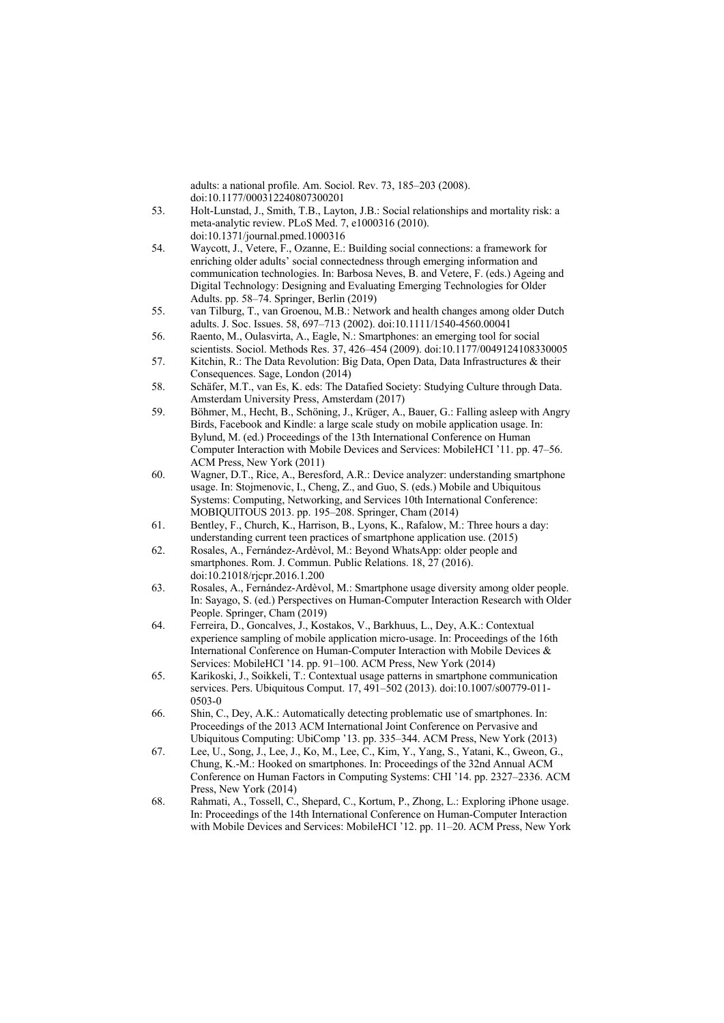adults: a national profile. Am. Sociol. Rev. 73, 185–203 (2008). doi:10.1177/000312240807300201

- 53. Holt-Lunstad, J., Smith, T.B., Layton, J.B.: Social relationships and mortality risk: a meta-analytic review. PLoS Med. 7, e1000316 (2010). doi:10.1371/journal.pmed.1000316
- 54. Waycott, J., Vetere, F., Ozanne, E.: Building social connections: a framework for enriching older adults' social connectedness through emerging information and communication technologies. In: Barbosa Neves, B. and Vetere, F. (eds.) Ageing and Digital Technology: Designing and Evaluating Emerging Technologies for Older Adults. pp. 58–74. Springer, Berlin (2019)
- 55. van Tilburg, T., van Groenou, M.B.: Network and health changes among older Dutch adults. J. Soc. Issues. 58, 697–713 (2002). doi:10.1111/1540-4560.00041
- 56. Raento, M., Oulasvirta, A., Eagle, N.: Smartphones: an emerging tool for social scientists. Sociol. Methods Res. 37, 426–454 (2009). doi:10.1177/0049124108330005
- 57. Kitchin, R.: The Data Revolution: Big Data, Open Data, Data Infrastructures & their Consequences. Sage, London (2014)
- 58. Schäfer, M.T., van Es, K. eds: The Datafied Society: Studying Culture through Data. Amsterdam University Press, Amsterdam (2017)
- 59. Böhmer, M., Hecht, B., Schöning, J., Krüger, A., Bauer, G.: Falling asleep with Angry Birds, Facebook and Kindle: a large scale study on mobile application usage. In: Bylund, M. (ed.) Proceedings of the 13th International Conference on Human Computer Interaction with Mobile Devices and Services: MobileHCI '11. pp. 47–56. ACM Press, New York (2011)
- 60. Wagner, D.T., Rice, A., Beresford, A.R.: Device analyzer: understanding smartphone usage. In: Stojmenovic, I., Cheng, Z., and Guo, S. (eds.) Mobile and Ubiquitous Systems: Computing, Networking, and Services 10th International Conference: MOBIQUITOUS 2013. pp. 195–208. Springer, Cham (2014)
- 61. Bentley, F., Church, K., Harrison, B., Lyons, K., Rafalow, M.: Three hours a day: understanding current teen practices of smartphone application use. (2015)
- 62. Rosales, A., Fernández-Ardèvol, M.: Beyond WhatsApp: older people and smartphones. Rom. J. Commun. Public Relations. 18, 27 (2016). doi:10.21018/rjcpr.2016.1.200
- 63. Rosales, A., Fernández-Ardèvol, M.: Smartphone usage diversity among older people. In: Sayago, S. (ed.) Perspectives on Human-Computer Interaction Research with Older People. Springer, Cham (2019)
- 64. Ferreira, D., Goncalves, J., Kostakos, V., Barkhuus, L., Dey, A.K.: Contextual experience sampling of mobile application micro-usage. In: Proceedings of the 16th International Conference on Human-Computer Interaction with Mobile Devices & Services: MobileHCI '14. pp. 91–100. ACM Press, New York (2014)
- 65. Karikoski, J., Soikkeli, T.: Contextual usage patterns in smartphone communication services. Pers. Ubiquitous Comput. 17, 491–502 (2013). doi:10.1007/s00779-011- 0503-0
- 66. Shin, C., Dey, A.K.: Automatically detecting problematic use of smartphones. In: Proceedings of the 2013 ACM International Joint Conference on Pervasive and Ubiquitous Computing: UbiComp '13. pp. 335–344. ACM Press, New York (2013)
- 67. Lee, U., Song, J., Lee, J., Ko, M., Lee, C., Kim, Y., Yang, S., Yatani, K., Gweon, G., Chung, K.-M.: Hooked on smartphones. In: Proceedings of the 32nd Annual ACM Conference on Human Factors in Computing Systems: CHI '14. pp. 2327–2336. ACM Press, New York (2014)
- 68. Rahmati, A., Tossell, C., Shepard, C., Kortum, P., Zhong, L.: Exploring iPhone usage. In: Proceedings of the 14th International Conference on Human-Computer Interaction with Mobile Devices and Services: MobileHCI '12. pp. 11–20. ACM Press, New York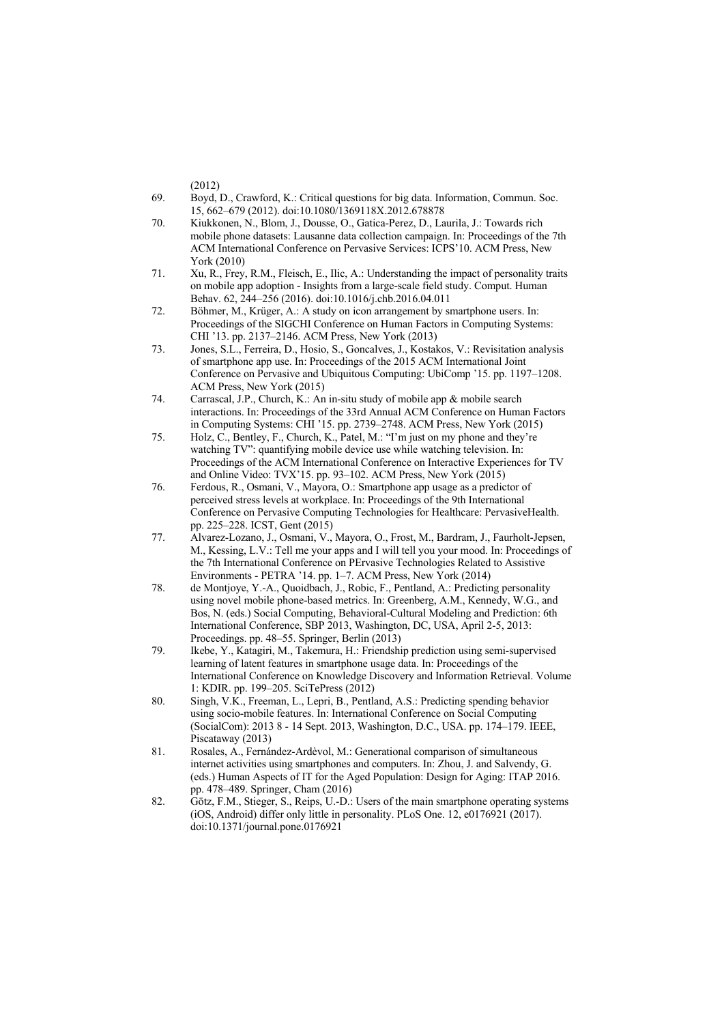(2012)

- 69. Boyd, D., Crawford, K.: Critical questions for big data. Information, Commun. Soc. 15, 662–679 (2012). doi:10.1080/1369118X.2012.678878
- 70. Kiukkonen, N., Blom, J., Dousse, O., Gatica-Perez, D., Laurila, J.: Towards rich mobile phone datasets: Lausanne data collection campaign. In: Proceedings of the 7th ACM International Conference on Pervasive Services: ICPS'10. ACM Press, New York (2010)
- 71. Xu, R., Frey, R.M., Fleisch, E., Ilic, A.: Understanding the impact of personality traits on mobile app adoption - Insights from a large-scale field study. Comput. Human Behav. 62, 244–256 (2016). doi:10.1016/j.chb.2016.04.011
- 72. Böhmer, M., Krüger, A.: A study on icon arrangement by smartphone users. In: Proceedings of the SIGCHI Conference on Human Factors in Computing Systems: CHI '13. pp. 2137–2146. ACM Press, New York (2013)
- 73. Jones, S.L., Ferreira, D., Hosio, S., Goncalves, J., Kostakos, V.: Revisitation analysis of smartphone app use. In: Proceedings of the 2015 ACM International Joint Conference on Pervasive and Ubiquitous Computing: UbiComp '15. pp. 1197–1208. ACM Press, New York (2015)
- 74. Carrascal, J.P., Church, K.: An in-situ study of mobile app & mobile search interactions. In: Proceedings of the 33rd Annual ACM Conference on Human Factors in Computing Systems: CHI '15. pp. 2739–2748. ACM Press, New York (2015)
- 75. Holz, C., Bentley, F., Church, K., Patel, M.: "I'm just on my phone and they're watching TV": quantifying mobile device use while watching television. In: Proceedings of the ACM International Conference on Interactive Experiences for TV and Online Video: TVX'15. pp. 93–102. ACM Press, New York (2015)
- 76. Ferdous, R., Osmani, V., Mayora, O.: Smartphone app usage as a predictor of perceived stress levels at workplace. In: Proceedings of the 9th International Conference on Pervasive Computing Technologies for Healthcare: PervasiveHealth. pp. 225–228. ICST, Gent (2015)
- 77. Alvarez-Lozano, J., Osmani, V., Mayora, O., Frost, M., Bardram, J., Faurholt-Jepsen, M., Kessing, L.V.: Tell me your apps and I will tell you your mood. In: Proceedings of the 7th International Conference on PErvasive Technologies Related to Assistive Environments - PETRA '14. pp. 1–7. ACM Press, New York (2014)
- 78. de Montjoye, Y.-A., Quoidbach, J., Robic, F., Pentland, A.: Predicting personality using novel mobile phone-based metrics. In: Greenberg, A.M., Kennedy, W.G., and Bos, N. (eds.) Social Computing, Behavioral-Cultural Modeling and Prediction: 6th International Conference, SBP 2013, Washington, DC, USA, April 2-5, 2013: Proceedings. pp. 48–55. Springer, Berlin (2013)
- 79. Ikebe, Y., Katagiri, M., Takemura, H.: Friendship prediction using semi-supervised learning of latent features in smartphone usage data. In: Proceedings of the International Conference on Knowledge Discovery and Information Retrieval. Volume 1: KDIR. pp. 199–205. SciTePress (2012)
- 80. Singh, V.K., Freeman, L., Lepri, B., Pentland, A.S.: Predicting spending behavior using socio-mobile features. In: International Conference on Social Computing (SocialCom): 2013 8 - 14 Sept. 2013, Washington, D.C., USA. pp. 174–179. IEEE, Piscataway (2013)
- 81. Rosales, A., Fernández-Ardèvol, M.: Generational comparison of simultaneous internet activities using smartphones and computers. In: Zhou, J. and Salvendy, G. (eds.) Human Aspects of IT for the Aged Population: Design for Aging: ITAP 2016. pp. 478–489. Springer, Cham (2016)
- 82. Götz, F.M., Stieger, S., Reips, U.-D.: Users of the main smartphone operating systems (iOS, Android) differ only little in personality. PLoS One. 12, e0176921 (2017). doi:10.1371/journal.pone.0176921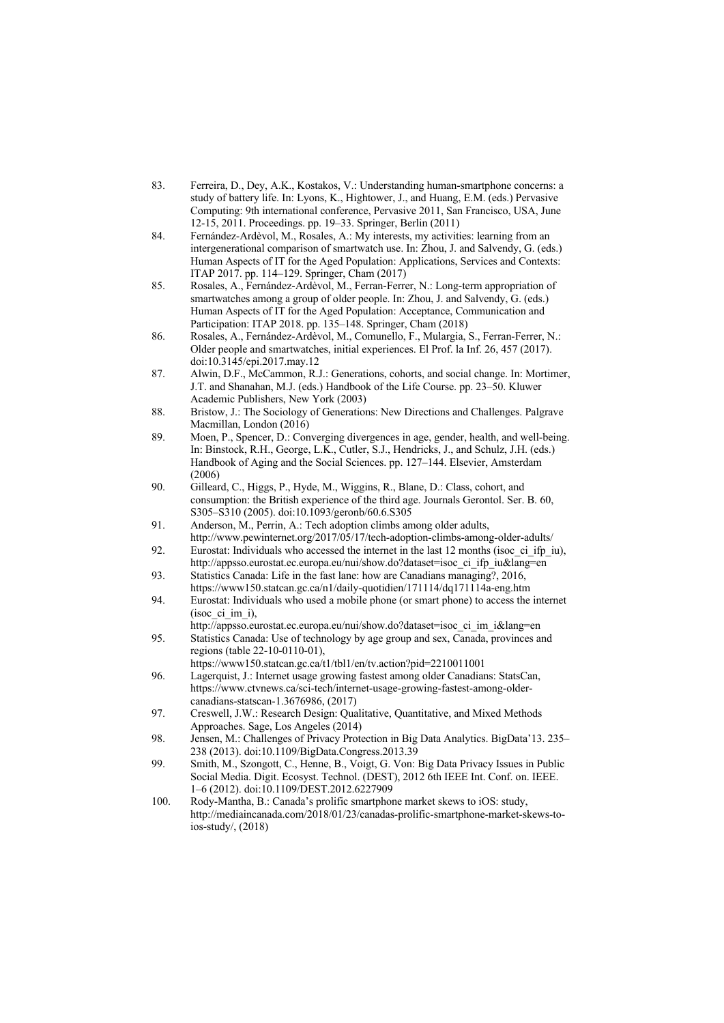- 83. Ferreira, D., Dey, A.K., Kostakos, V.: Understanding human-smartphone concerns: a study of battery life. In: Lyons, K., Hightower, J., and Huang, E.M. (eds.) Pervasive Computing: 9th international conference, Pervasive 2011, San Francisco, USA, June 12-15, 2011. Proceedings. pp. 19–33. Springer, Berlin (2011)
- 84. Fernández-Ardèvol, M., Rosales, A.: My interests, my activities: learning from an intergenerational comparison of smartwatch use. In: Zhou, J. and Salvendy, G. (eds.) Human Aspects of IT for the Aged Population: Applications, Services and Contexts: ITAP 2017. pp. 114–129. Springer, Cham (2017)
- 85. Rosales, A., Fernández-Ardèvol, M., Ferran-Ferrer, N.: Long-term appropriation of smartwatches among a group of older people. In: Zhou, J. and Salvendy, G. (eds.) Human Aspects of IT for the Aged Population: Acceptance, Communication and Participation: ITAP 2018. pp. 135–148. Springer, Cham (2018)
- 86. Rosales, A., Fernández-Ardèvol, M., Comunello, F., Mulargia, S., Ferran-Ferrer, N.: Older people and smartwatches, initial experiences. El Prof. la Inf. 26, 457 (2017). doi:10.3145/epi.2017.may.12
- 87. Alwin, D.F., McCammon, R.J.: Generations, cohorts, and social change. In: Mortimer, J.T. and Shanahan, M.J. (eds.) Handbook of the Life Course. pp. 23–50. Kluwer Academic Publishers, New York (2003)
- 88. Bristow, J.: The Sociology of Generations: New Directions and Challenges. Palgrave Macmillan, London (2016)
- 89. Moen, P., Spencer, D.: Converging divergences in age, gender, health, and well-being. In: Binstock, R.H., George, L.K., Cutler, S.J., Hendricks, J., and Schulz, J.H. (eds.) Handbook of Aging and the Social Sciences. pp. 127–144. Elsevier, Amsterdam (2006)
- 90. Gilleard, C., Higgs, P., Hyde, M., Wiggins, R., Blane, D.: Class, cohort, and consumption: the British experience of the third age. Journals Gerontol. Ser. B. 60, S305–S310 (2005). doi:10.1093/geronb/60.6.S305
- 91. Anderson, M., Perrin, A.: Tech adoption climbs among older adults, http://www.pewinternet.org/2017/05/17/tech-adoption-climbs-among-older-adults/
- 92. Eurostat: Individuals who accessed the internet in the last 12 months (isoc\_ci\_ifp\_iu), http://appsso.eurostat.ec.europa.eu/nui/show.do?dataset=isoc\_ci\_ifp\_iu&lang=en
- 93. Statistics Canada: Life in the fast lane: how are Canadians managing?, 2016, https://www150.statcan.gc.ca/n1/daily-quotidien/171114/dq171114a-eng.htm
- 94. Eurostat: Individuals who used a mobile phone (or smart phone) to access the internet (isoc\_ci\_im\_i),
- http://appsso.eurostat.ec.europa.eu/nui/show.do?dataset=isoc\_ci\_im\_i&lang=en 95. Statistics Canada: Use of technology by age group and sex, Canada, provinces and regions (table 22-10-0110-01),

https://www150.statcan.gc.ca/t1/tbl1/en/tv.action?pid=2210011001

- 96. Lagerquist, J.: Internet usage growing fastest among older Canadians: StatsCan, https://www.ctvnews.ca/sci-tech/internet-usage-growing-fastest-among-oldercanadians-statscan-1.3676986, (2017)
- 97. Creswell, J.W.: Research Design: Qualitative, Quantitative, and Mixed Methods Approaches. Sage, Los Angeles (2014)
- 98. Jensen, M.: Challenges of Privacy Protection in Big Data Analytics. BigData'13. 235– 238 (2013). doi:10.1109/BigData.Congress.2013.39
- 99. Smith, M., Szongott, C., Henne, B., Voigt, G. Von: Big Data Privacy Issues in Public Social Media. Digit. Ecosyst. Technol. (DEST), 2012 6th IEEE Int. Conf. on. IEEE. 1–6 (2012). doi:10.1109/DEST.2012.6227909
- 100. Rody-Mantha, B.: Canada's prolific smartphone market skews to iOS: study, http://mediaincanada.com/2018/01/23/canadas-prolific-smartphone-market-skews-toios-study/, (2018)